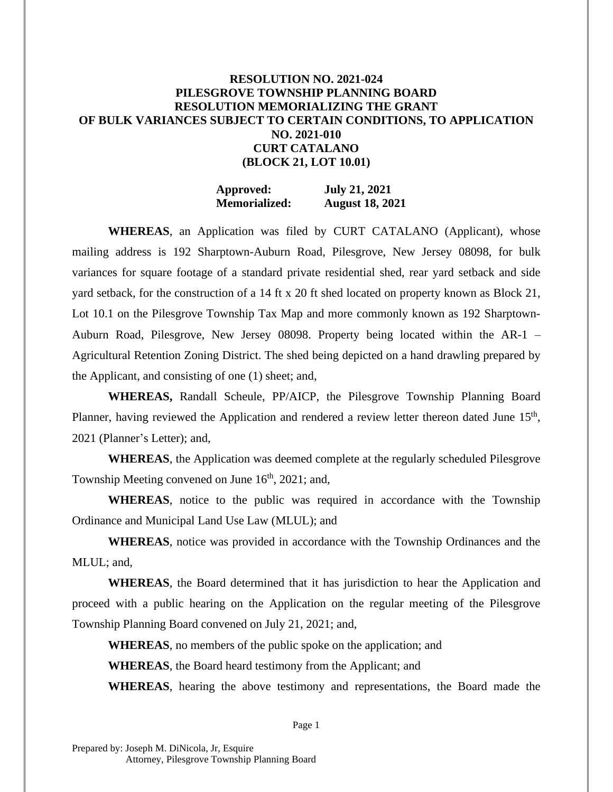## **RESOLUTION NO. 2021-024 PILESGROVE TOWNSHIP PLANNING BOARD RESOLUTION MEMORIALIZING THE GRANT OF BULK VARIANCES SUBJECT TO CERTAIN CONDITIONS, TO APPLICATION NO. 2021-010 CURT CATALANO (BLOCK 21, LOT 10.01)**

**Approved: July 21, 2021 Memorialized: August 18, 2021**

**WHEREAS**, an Application was filed by CURT CATALANO (Applicant), whose mailing address is 192 Sharptown-Auburn Road, Pilesgrove, New Jersey 08098, for bulk variances for square footage of a standard private residential shed, rear yard setback and side yard setback, for the construction of a 14 ft x 20 ft shed located on property known as Block 21, Lot 10.1 on the Pilesgrove Township Tax Map and more commonly known as 192 Sharptown-Auburn Road, Pilesgrove, New Jersey 08098. Property being located within the AR-1 – Agricultural Retention Zoning District. The shed being depicted on a hand drawling prepared by the Applicant, and consisting of one (1) sheet; and,

**WHEREAS,** Randall Scheule, PP/AICP, the Pilesgrove Township Planning Board Planner, having reviewed the Application and rendered a review letter thereon dated June 15<sup>th</sup>, 2021 (Planner's Letter); and,

**WHEREAS**, the Application was deemed complete at the regularly scheduled Pilesgrove Township Meeting convened on June 16<sup>th</sup>, 2021; and,

**WHEREAS**, notice to the public was required in accordance with the Township Ordinance and Municipal Land Use Law (MLUL); and

**WHEREAS**, notice was provided in accordance with the Township Ordinances and the MLUL; and,

**WHEREAS**, the Board determined that it has jurisdiction to hear the Application and proceed with a public hearing on the Application on the regular meeting of the Pilesgrove Township Planning Board convened on July 21, 2021; and,

**WHEREAS**, no members of the public spoke on the application; and

**WHEREAS**, the Board heard testimony from the Applicant; and

**WHEREAS**, hearing the above testimony and representations, the Board made the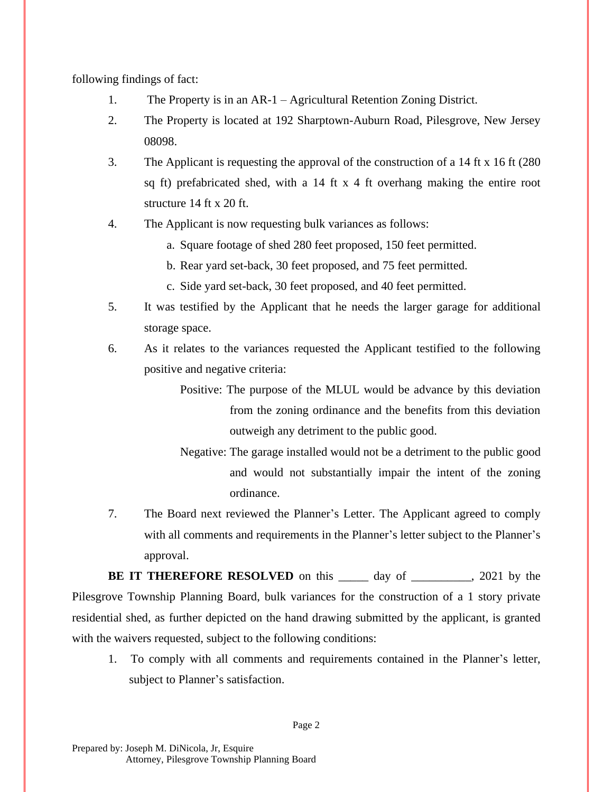following findings of fact:

- 1. The Property is in an AR-1 Agricultural Retention Zoning District.
- 2. The Property is located at 192 Sharptown-Auburn Road, Pilesgrove, New Jersey 08098.
- 3. The Applicant is requesting the approval of the construction of a 14 ft x 16 ft (280 sq ft) prefabricated shed, with a 14 ft x 4 ft overhang making the entire root structure 14 ft x 20 ft.
- 4. The Applicant is now requesting bulk variances as follows:
	- a. Square footage of shed 280 feet proposed, 150 feet permitted.
	- b. Rear yard set-back, 30 feet proposed, and 75 feet permitted.
	- c. Side yard set-back, 30 feet proposed, and 40 feet permitted.
- 5. It was testified by the Applicant that he needs the larger garage for additional storage space.
- 6. As it relates to the variances requested the Applicant testified to the following positive and negative criteria:

Positive: The purpose of the MLUL would be advance by this deviation from the zoning ordinance and the benefits from this deviation outweigh any detriment to the public good.

- Negative: The garage installed would not be a detriment to the public good and would not substantially impair the intent of the zoning ordinance.
- 7. The Board next reviewed the Planner's Letter. The Applicant agreed to comply with all comments and requirements in the Planner's letter subject to the Planner's approval.

**BE IT THEREFORE RESOLVED** on this day of 3021 by the Pilesgrove Township Planning Board, bulk variances for the construction of a 1 story private residential shed, as further depicted on the hand drawing submitted by the applicant, is granted with the waivers requested, subject to the following conditions:

1. To comply with all comments and requirements contained in the Planner's letter, subject to Planner's satisfaction.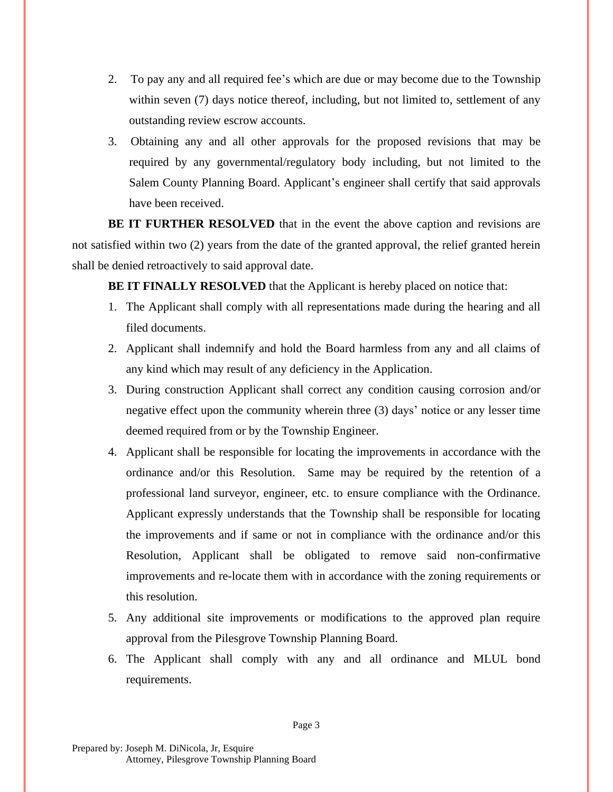- 2. To pay any and all required fee's which are due or may become due to the Township within seven (7) days notice thereof, including, but not limited to, settlement of any outstanding review escrow accounts.
- 3. Obtaining any and all other approvals for the proposed revisions that may be required by any governmental/regulatory body including, but not limited to the Salem County Planning Board. Applicant's engineer shall certify that said approvals have been received.

**BE IT FURTHER RESOLVED** that in the event the above caption and revisions are not satisfied within two (2) years from the date of the granted approval, the relief granted herein shall be denied retroactively to said approval date.

**BE IT FINALLY RESOLVED** that the Applicant is hereby placed on notice that:

- 1. The Applicant shall comply with all representations made during the hearing and all filed documents.
- 2. Applicant shall indemnify and hold the Board harmless from any and all claims of any kind which may result of any deficiency in the Application.
- 3. During construction Applicant shall correct any condition causing corrosion and/or negative effect upon the community wherein three (3) days' notice or any lesser time deemed required from or by the Township Engineer.
- 4. Applicant shall be responsible for locating the improvements in accordance with the ordinance and/or this Resolution. Same may be required by the retention of a professional land surveyor, engineer, etc. to ensure compliance with the Ordinance. Applicant expressly understands that the Township shall be responsible for locating the improvements and if same or not in compliance with the ordinance and/or this Resolution, Applicant shall be obligated to remove said non-confirmative improvements and re-locate them with in accordance with the zoning requirements or this resolution.
- 5. Any additional site improvements or modifications to the approved plan require approval from the Pilesgrove Township Planning Board.
- 6. The Applicant shall comply with any and all ordinance and MLUL bond requirements.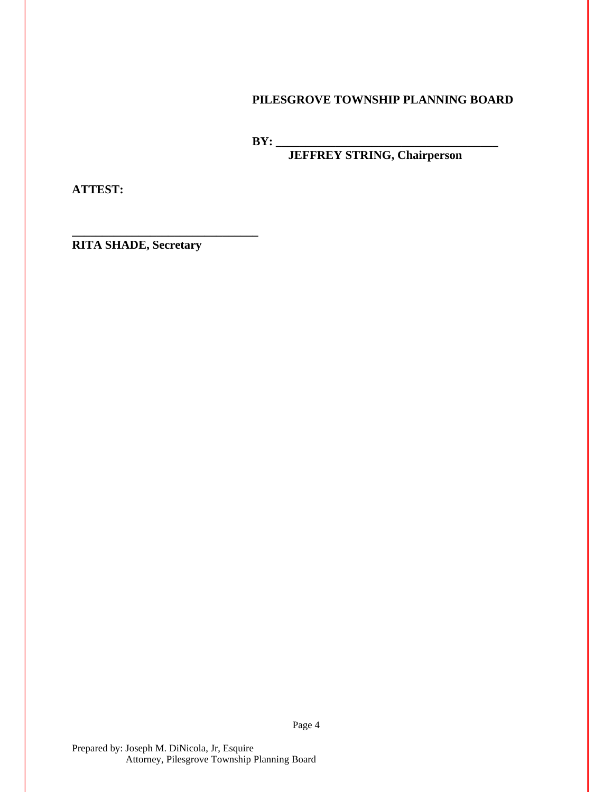## **PILESGROVE TOWNSHIP PLANNING BOARD**

**BY:** 

**JEFFREY STRING, Chairperson**

**ATTEST:**

**RITA SHADE, Secretary**

**\_\_\_\_\_\_\_\_\_\_\_\_\_\_\_\_\_\_\_\_\_\_\_\_\_\_\_\_\_\_\_**